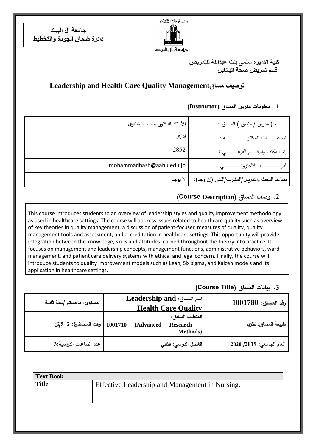ستكشرالتجز التجنيم

جرامعة أل اليرت

**جامعة آل البيت دائرة ضمان الجودة والتخطيط**

> **كلية االميرة سلمى بنت عبداللة للتمريض قسم تمريض صحة البالغين**

# **Leadership and Health Care Quality Managementمساق توصيف**

# اســــــــــــم ) مدرس / منسق ( المساق : األستاذ الدكتور محمد البشتاوي ادار الساع ــــــــــــــــــــات المكتبيـــــــــــــــــــــــــــــــــــــــــــة : ي 2852رقم المكتب والرقـــــم الفرعــــــــــي : mohammadbash@aabu.edu.jo : ي االلكترونـــــــــــــــــــــــــــــــــ البريــــــــــــــــــــــــــــــــــــــد مساعد البحث والتدريس/المشرف/الفني (إن وجد): | لا يوجد

# **.1 معلومات مدرس المساق )Instructor)**

## **.2 وصف المساق )Description Course(**

This course introduces students to an overview of leadership styles and quality improvement methodology as used in healthcare settings. The course will address issues related to healthcare quality such as overview of key theories in quality management, a discussion of patient-focused measures of quality, quality management tools and assessment, and accreditation in healthcare settings. This opportunity will provide integration between the knowledge, skills and attitudes learned throughout the theory into practice. It focuses on management and leadership concepts, management functions, administrative behaviors, ward management, and patient care delivery systems with ethical and legal concern. Finally, the course will introduce students to quality improvement models such as Lean, Six sigma, and Kaizen models and its application in healthcare settings.

### **.3 بيانات المساق )Title Course)**

| $1001780:$ رقم المساق     | Leadership and :اسم المساق<br><b>Health Care Quality</b>            | المستوى: ماجستير  سنة ثانية    |
|---------------------------|---------------------------------------------------------------------|--------------------------------|
| طبيعة المساق: نظري        | المتطلب السابق:<br>(Advanced<br><b>Research</b><br><b>Methods</b> ) | 1001710   وقت المحاضرة: 2–5/أن |
| العام الجامعي: 2019/ 2020 | الفصل الدراسي: الثاني                                               | عدد الساعات الدراسية:3         |

| Text Book         |                                                 |
|-------------------|-------------------------------------------------|
| $\parallel$ Title | Effective Leadership and Management in Nursing. |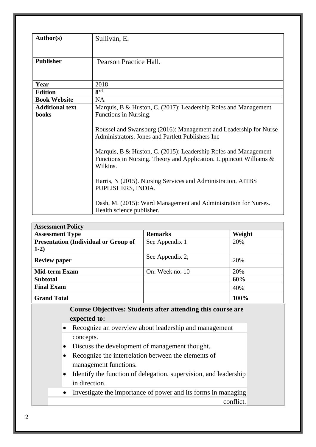| <b>Author(s)</b>       | Sullivan, E.                                                                                                                                       |  |  |  |  |  |  |
|------------------------|----------------------------------------------------------------------------------------------------------------------------------------------------|--|--|--|--|--|--|
| <b>Publisher</b>       | Pearson Practice Hall.                                                                                                                             |  |  |  |  |  |  |
| Year                   | 2018                                                                                                                                               |  |  |  |  |  |  |
| <b>Edition</b>         | <b>grd</b>                                                                                                                                         |  |  |  |  |  |  |
| <b>Book Website</b>    | <b>NA</b>                                                                                                                                          |  |  |  |  |  |  |
| <b>Additional text</b> | Marquis, B & Huston, C. (2017): Leadership Roles and Management                                                                                    |  |  |  |  |  |  |
| <b>books</b>           | Functions in Nursing.                                                                                                                              |  |  |  |  |  |  |
|                        | Roussel and Swansburg (2016): Management and Leadership for Nurse<br>Administrators. Jones and Partlett Publishers Inc                             |  |  |  |  |  |  |
|                        | Marquis, B & Huston, C. (2015): Leadership Roles and Management<br>Functions in Nursing. Theory and Application. Lippincott Williams &<br>Wilkins. |  |  |  |  |  |  |
|                        | Harris, N (2015). Nursing Services and Administration. AITBS<br>PUPLISHERS, INDIA.                                                                 |  |  |  |  |  |  |
|                        | Dash, M. (2015): Ward Management and Administration for Nurses.<br>Health science publisher.                                                       |  |  |  |  |  |  |

| <b>Assessment Policy</b>                    |                 |        |
|---------------------------------------------|-----------------|--------|
| <b>Assessment Type</b>                      | <b>Remarks</b>  | Weight |
| <b>Presentation (Individual or Group of</b> | See Appendix 1  | 20%    |
| $1-2)$                                      |                 |        |
| <b>Review paper</b>                         | See Appendix 2; | 20%    |
| <b>Mid-term Exam</b>                        | On: Week no. 10 | 20%    |
| <b>Subtotal</b>                             |                 | 60%    |
| <b>Final Exam</b>                           |                 | 40%    |
| <b>Grand Total</b>                          |                 | 100%   |

### **Course Objectives: Students after attending this course are expected to:**

- Recognize an overview about leadership and management concepts.
- Discuss the development of management thought.
- Recognize the interrelation between the elements of management functions.
- Identify the function of delegation, supervision, and leadership in direction.
- Investigate the importance of power and its forms in managing conflict.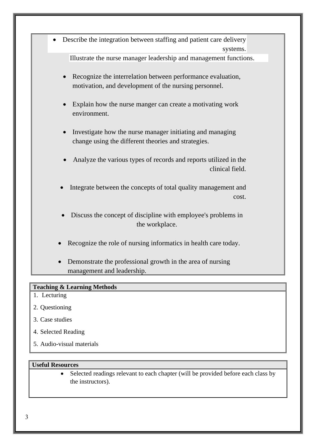

#### **Teaching & Learning Methods**

- 1. Lecturing
- 2. Questioning
- 3. Case studies
- 4. Selected Reading
- 5. Audio-visual materials

#### **Useful Resources**

• Selected readings relevant to each chapter (will be provided before each class by the instructors).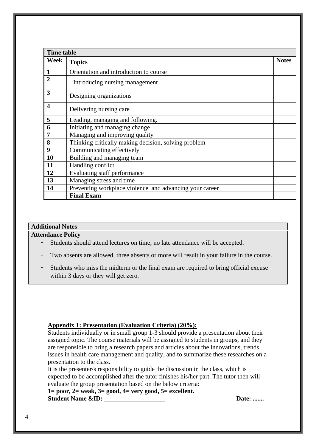|                         | <b>Time table</b>                                       |              |  |  |  |
|-------------------------|---------------------------------------------------------|--------------|--|--|--|
| Week                    | <b>Topics</b>                                           | <b>Notes</b> |  |  |  |
| $\mathbf{1}$            | Orientation and introduction to course                  |              |  |  |  |
| $\overline{2}$          | Introducing nursing management                          |              |  |  |  |
| 3                       | Designing organizations                                 |              |  |  |  |
| $\overline{\mathbf{4}}$ | Delivering nursing care                                 |              |  |  |  |
| 5                       | Leading, managing and following.                        |              |  |  |  |
| 6                       | Initiating and managing change                          |              |  |  |  |
| $\overline{7}$          | Managing and improving quality                          |              |  |  |  |
| 8                       | Thinking critically making decision, solving problem    |              |  |  |  |
| 9                       | Communicating effectively                               |              |  |  |  |
| 10                      | Building and managing team                              |              |  |  |  |
| 11                      | Handling conflict                                       |              |  |  |  |
| 12                      | Evaluating staff performance                            |              |  |  |  |
| 13                      | Managing stress and time                                |              |  |  |  |
| 14                      | Preventing workplace violence and advancing your career |              |  |  |  |
|                         | <b>Final Exam</b>                                       |              |  |  |  |

#### **Additional Notes**

**Attendance Policy**

- Students should attend lectures on time; no late attendance will be accepted.
- Two absents are allowed, three absents or more will result in your failure in the course.
- Students who miss the midterm or the final exam are required to bring official excuse within 3 days or they will get zero.

#### **Appendix 1: Presentation (Evaluation Criteria) (20%):**

Students individually or in small group 1-3 should provide a presentation about their assigned topic. The course materials will be assigned to students in groups, and they are responsible to bring a research papers and articles about the innovations, trends, issues in health care management and quality, and to summarize these researches on a presentation to the class.

It is the presenter/s responsibility to guide the discussion in the class, which is expected to be accomplished after the tutor finishes his/her part. The tutor then will evaluate the group presentation based on the below criteria:

**1= poor, 2= weak, 3= good, 4= very good, 5= excellent. Student Name &ID: Date: .......**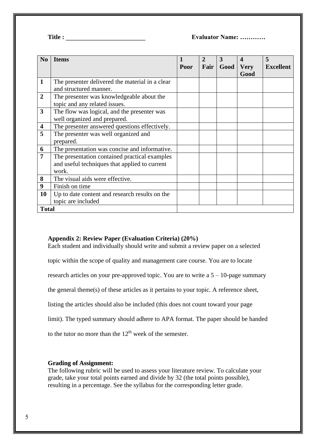**Title : \_\_\_\_\_\_\_\_\_\_\_\_\_\_\_\_\_\_\_\_\_\_\_\_\_ Evaluator Name: …………** 

| No                      | <b>Items</b>                                    | Poor | $\mathbf{2}$<br>Fair | 3<br>Good | $\boldsymbol{\mathcal{A}}$<br><b>Very</b> | 5<br><b>Excellent</b> |
|-------------------------|-------------------------------------------------|------|----------------------|-----------|-------------------------------------------|-----------------------|
|                         |                                                 |      |                      |           | Good                                      |                       |
| $\mathbf{1}$            | The presenter delivered the material in a clear |      |                      |           |                                           |                       |
|                         | and structured manner.                          |      |                      |           |                                           |                       |
| $\overline{2}$          | The presenter was knowledgeable about the       |      |                      |           |                                           |                       |
|                         | topic and any related issues.                   |      |                      |           |                                           |                       |
| $\overline{3}$          | The flow was logical, and the presenter was     |      |                      |           |                                           |                       |
|                         | well organized and prepared.                    |      |                      |           |                                           |                       |
| $\overline{\mathbf{4}}$ | The presenter answered questions effectively.   |      |                      |           |                                           |                       |
| 5                       | The presenter was well organized and            |      |                      |           |                                           |                       |
|                         | prepared.                                       |      |                      |           |                                           |                       |
| 6                       | The presentation was concise and informative.   |      |                      |           |                                           |                       |
| 7                       | The presentation contained practical examples   |      |                      |           |                                           |                       |
|                         | and useful techniques that applied to current   |      |                      |           |                                           |                       |
|                         | work.                                           |      |                      |           |                                           |                       |
| 8                       | The visual aids were effective.                 |      |                      |           |                                           |                       |
| 9                       | Finish on time                                  |      |                      |           |                                           |                       |
| 10                      | Up to date content and research results on the  |      |                      |           |                                           |                       |
|                         | topic are included                              |      |                      |           |                                           |                       |
| <b>Total</b>            |                                                 |      |                      |           |                                           |                       |

#### **Appendix 2: Review Paper (Evaluation Criteria) (20%)**

Each student and individually should write and submit a review paper on a selected

topic within the scope of quality and management care course. You are to locate

research articles on your pre-approved topic. You are to write a 5 – 10-page summary

the general theme(s) of these articles as it pertains to your topic. A reference sheet,

listing the articles should also be included (this does not count toward your page

limit). The typed summary should adhere to APA format. The paper should be handed

to the tutor no more than the  $12<sup>th</sup>$  week of the semester.

#### **Grading of Assignment:**

The following rubric will be used to assess your literature review. To calculate your grade, take your total points earned and divide by 32 (the total points possible), resulting in a percentage. See the syllabus for the corresponding letter grade.